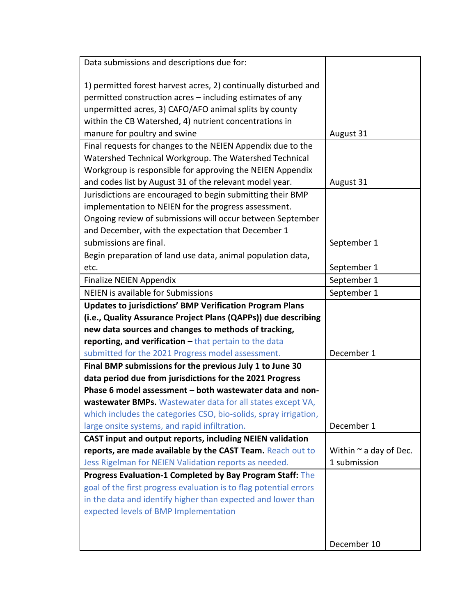| Data submissions and descriptions due for:                        |                             |
|-------------------------------------------------------------------|-----------------------------|
|                                                                   |                             |
| 1) permitted forest harvest acres, 2) continually disturbed and   |                             |
| permitted construction acres - including estimates of any         |                             |
| unpermitted acres, 3) CAFO/AFO animal splits by county            |                             |
| within the CB Watershed, 4) nutrient concentrations in            |                             |
| manure for poultry and swine                                      | August 31                   |
| Final requests for changes to the NEIEN Appendix due to the       |                             |
| Watershed Technical Workgroup. The Watershed Technical            |                             |
| Workgroup is responsible for approving the NEIEN Appendix         |                             |
| and codes list by August 31 of the relevant model year.           | August 31                   |
| Jurisdictions are encouraged to begin submitting their BMP        |                             |
| implementation to NEIEN for the progress assessment.              |                             |
| Ongoing review of submissions will occur between September        |                             |
| and December, with the expectation that December 1                |                             |
| submissions are final.                                            | September 1                 |
| Begin preparation of land use data, animal population data,       |                             |
| etc.                                                              | September 1                 |
| <b>Finalize NEIEN Appendix</b>                                    | September 1                 |
| <b>NEIEN</b> is available for Submissions                         | September 1                 |
| <b>Updates to jurisdictions' BMP Verification Program Plans</b>   |                             |
| (i.e., Quality Assurance Project Plans (QAPPs)) due describing    |                             |
| new data sources and changes to methods of tracking,              |                             |
| reporting, and verification - that pertain to the data            |                             |
| submitted for the 2021 Progress model assessment.                 | December 1                  |
| Final BMP submissions for the previous July 1 to June 30          |                             |
| data period due from jurisdictions for the 2021 Progress          |                             |
| Phase 6 model assessment - both wastewater data and non-          |                             |
| wastewater BMPs. Wastewater data for all states except VA         |                             |
| which includes the categories CSO, bio-solids, spray irrigation,  |                             |
| large onsite systems, and rapid infiltration.                     | December 1                  |
| CAST input and output reports, including NEIEN validation         |                             |
| reports, are made available by the CAST Team. Reach out to        | Within $\sim$ a day of Dec. |
| Jess Rigelman for NEIEN Validation reports as needed.             | 1 submission                |
| Progress Evaluation-1 Completed by Bay Program Staff: The         |                             |
| goal of the first progress evaluation is to flag potential errors |                             |
| in the data and identify higher than expected and lower than      |                             |
| expected levels of BMP Implementation                             |                             |
|                                                                   |                             |
|                                                                   | December 10                 |